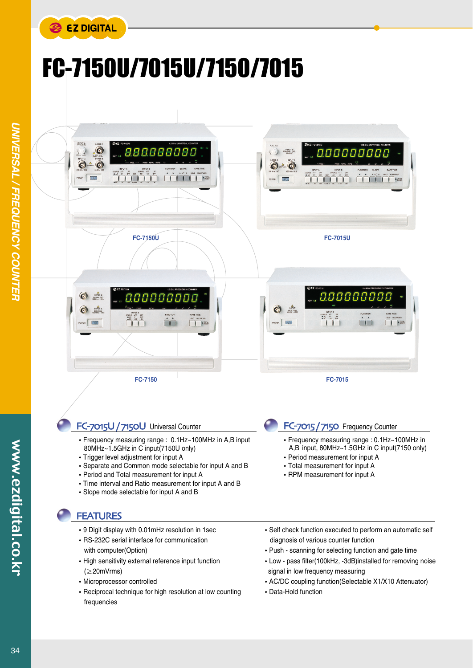

## FC-7150U/7015U/7150/7015



## FC-7015U / 7150U Universal Counter

- Frequency measuring range : 0.1Hz~100MHz in A,B input 80MHz~1.5GHz in C input(7150U only)
- Trigger level adjustment for input A
- Separate and Common mode selectable for input A and B
- Period and Total measurement for input A
- Time interval and Ratio measurement for input A and B
- Slope mode selectable for input A and B

## **FEATURES**

- 9 Digit display with 0.01mHz resolution in 1sec
- RS-232C serial interface for communication with computer(Option)
- High sensitivity external reference input function (≥20mVrms)
- Microprocessor controlled
- Reciprocal technique for high resolution at low counting frequencies
- Self check function executed to perform an automatic self diagnosis of various counter function
- Push scanning for selecting function and gate time

FC-7015 / 7150 Frequency Counter

Period measurement for input A Total measurement for input A • RPM measurement for input A

Frequency measuring range : 0.1Hz~100MHz in A,B input, 80MHz~1.5GHz in C input(7150 only)

- Low pass filter(100kHz, -3dB)installed for removing noise signal in low frequency measuring
- AC/DC coupling function(Selectable X1/X10 Attenuator)
- Data-Hold function